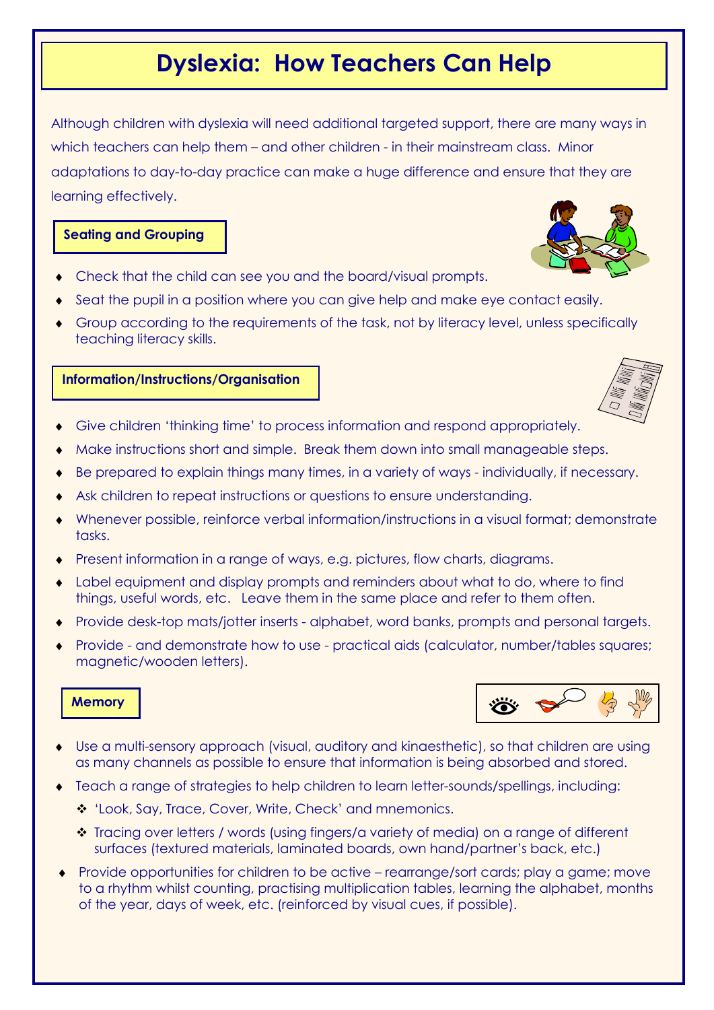# Dyslexia: How Teachers Can Help

Although children with dyslexia will need additional targeted support, there are many ways in which teachers can help them – and other children - in their mainstream class. Minor adaptations to day-to-day practice can make a huge difference and ensure that they are learning effectively.

# Seating and Grouping

- Check that the child can see you and the board/visual prompts.
- Seat the pupil in a position where you can give help and make eye contact easily.
- Group according to the requirements of the task, not by literacy level, unless specifically teaching literacy skills.

## Information/Instructions/Organisation

- Give children 'thinking time' to process information and respond appropriately.
- Make instructions short and simple. Break them down into small manageable steps.
- Be prepared to explain things many times, in a variety of ways individually, if necessary.
- Ask children to repeat instructions or questions to ensure understanding.
- Whenever possible, reinforce verbal information/instructions in a visual format; demonstrate tasks.
- Bresent information in a range of ways, e.g. pictures, flow charts, diagrams.
- Label equipment and display prompts and reminders about what to do, where to find things, useful words, etc. Leave them in the same place and refer to them often.
- ♦ Provide desk-top mats/jotter inserts alphabet, word banks, prompts and personal targets.
- Provide and demonstrate how to use practical aids (calculator, number/tables squares; magnetic/wooden letters).

#### **Memory**

- Use a multi-sensory approach (visual, auditory and kinaesthetic), so that children are using as many channels as possible to ensure that information is being absorbed and stored.
- Teach a range of strategies to help children to learn letter-sounds/spellings, including:
	- \* 'Look, Say, Trace, Cover, Write, Check' and mnemonics.
	- Tracing over letters / words (using fingers/a variety of media) on a range of different surfaces (textured materials, laminated boards, own hand/partner's back, etc.)
- ♦ Provide opportunities for children to be active rearrange/sort cards; play a game; move to a rhythm whilst counting, practising multiplication tables, learning the alphabet, months of the year, days of week, etc. (reinforced by visual cues, if possible).